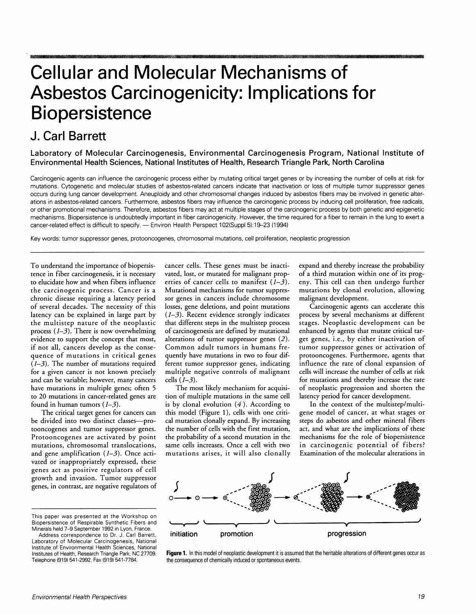## **Cellular and Molecular Mechanisms of Asbestos Carcinogenicity: Implications for Biopersistence**

## **J. Carl Barrett**

**Laboratory of Molecular Carcinogenesis, Environmental Carcinogenesis Program, National Institute of Environmental Health Sciences, National Institutes of Health, Research Triangle Park, North Carolina** 

Carcinogenic agents can influence the carcinogenic process either by mutating critical target genes or by increasing the number of cells at risk for mutations. Cytogenetic and molecular studies of asbestos-related cancers indicate that inactivation or loss of multiple tumor suppressor genes occurs during lung cancer development. Aneuploidy and other chromosomal changes induced by asbestos fibers may be involved in genetic alterations in asbestos-related cancers. Furthermore, asbestos fibers may influence the carcinogenic process by inducing cell proliferation, free radicals, or other promotional mechanisms. Therefore, asbestos fibers may act at multiple stages of the carcinogenic process by both genetic and epigenetic mechanisms. Biopersistence is undoubtedly important in fiber carcinogenicity. However, the time required for a fiber to remain in the lung to exert a cancer-related effect is difficult to specify. - Environ Health Perspect 102(Suppl 5):19-23 (1994)

Key words: tumor suppressor genes, protooncogenes, chromosomal mutations, cell proliferation, neoplastic progression

To understand the importance of biopersistence in fiber carcinogenesis, it is necessary to elucidate how and when fibers influence the carcinogenic process. Cancer is a chronic disease requiring a latency period of several decades. The necessity of this latency can be explained in large part by the multistep nature of the neoplastic process  $(1-3)$ . There is now overwhelming evidence to support the concept that most, if not all, cancers develop as the consequence of mutations in critical genes  $(1-3)$ . The number of mutations required for a given cancer is not known precisely and can be variable; however, many cancers have mutations in multiple genes; often 5 to 20 mutations in cancer-related genes are found in human tumors  $(1-3)$ .

The critical target genes for cancers can be divided into two distinct classes-protooncogenes and tumor suppressor genes. Protooncogenes are activated by point mutations, chromosomal translocations, and gene amplification  $(1-3)$ . Once activated or inappropriately expressed, these genes act as positive regulators of cell growth and invasion. Tumor suppressor genes, in contrast, are negative regulators of cancer cells. These genes must be inactivated, lost, or mutated for malignant properties of cancer cells to manifest  $(1-3)$ . Mutational mechanisms for tumor suppressor genes in cancers include chromosome losses, gene deletions, and point mutations  $(1-3)$ . Recent evidence strongly indicates that different steps in the multistep process of carcinogenesis are defined by mutational alterations of tumor suppressor genes (2). Common adult tumors in humans frequently have mutations in two to four different tumor suppressor genes, indicating multiple negative controls of malignant cells  $(I-3)$ .

The most likely mechanism for acquisition of multiple mutations in the same cell is by clonal evolution  $(4)$ . According to this model (Figure 1), cells with one critical mutation clonally expand. By increasing the number of cells with the first mutation, the probabiliry of a second mutation in the same cells increases. Once a cell with two mutations arises, it will also clonally expand and thereby increase the probabiliry of a third mutation within one of its progeny. This cell can then undergo further mutations by clonal evolution, allowing malignant development.

Carcinogenic agents can accelerate this process by several mechanisms at different stages. Neoplastic development can be enhanced by agents that mutate critical target genes, i.e., by either inactivation of tumor suppressor genes or activation of protooncogenes. Furthermore, agents that influence the rate of clonal expansion of cells will increase the number of cells at risk for mutations and thereby increase the rate of neoplastic progression and shorten the latency period for cancer development.

In the context of the multistep/multigene model of cancer, at what stages or steps do asbestos and other mineral fibers act, and what are the implications of these mechanisms for the role of biopersistence in carcinogenic potential of fibers? Examination of the molecular alterations in



**Figure** 1. In this model of neoplastic development it is assumed that the heritable alterations of different genes occur as the consequence of chemically induced or spontaneous events.

This paper was presented at the Workshop on Biopersistence of Respirable Synthetic Fibers and Minerals held 7-9 September 1992 in Lyon, France.

Address correspondence to Dr. J. Carl Barrett, Laboratory of Molecular Carcinogenesis, National Institute of Environmental Health Sciences, National Institutes of Health, Research Triangle Park, NC 27709. Telephone (919) 541-2992. Fax (919) 541-7784.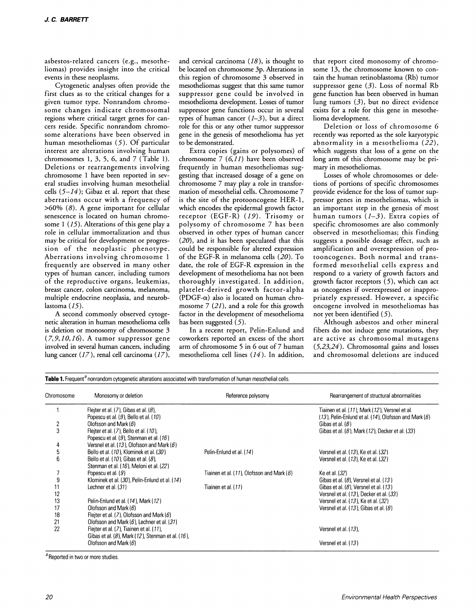asbestos-related cancers (e.g., mesotheliomas) provides insight into the critical events in these neoplasms.

Cytogenetic analyses often provide the first clues as to the critical changes for a given tumor type. Nonrandom chromosome changes indicate chromosomal regions where critical target genes for cancers reside. Specific nonrandom chromosome alterations have been observed in human mesotheliomas (5). Of particular interest are alterations involving human chromosomes 1, 3, 5, 6, and 7 (Table 1). Deletions or rearrangements involving chromosome 1 have been reported in several studies involving human mesothelial cells  $(5-14)$ ; Gibaz et al. report that these aberrations occur with a frequency of >60% (8). A gene important for cellular senescence is located on human chromosome  $1$  (15). Alterations of this gene play a role in cellular immortalization and thus may be critical for development or progression of the neoplastic phenotype. Aberrations involving chromosome 1 frequently are observed in many other types of human cancer, including tumors of the reproductive organs, leukemias, breast cancer, colon carcinoma, melanoma, multiple endocrine neoplasia, and neuroblastoma (15).

A second commonly observed cytogenetic alteration in human mesothelioma cells is deletion or monosomy of chromosome 3  $(7, 9, 10, 16)$ . A tumor suppressor gene involved in several human cancers, including lung cancer (17), renal cell carcinoma (17),

and cervical carcinoma  $(18)$ , is thought to be located on chromosome 3p. Alterations in this region of chromosome 3 observed in mesotheliomas suggest that this same tumor suppressor gene could be involved in mesothelioma development. Losses of tumor suppressor gene functions occur in several types of human cancer  $(1-3)$ , but a direct role for this or any other tumor suppressor gene in the genesis of mesothelioma has yet to be demonstrated.

Extra copies (gains or polysomes) of chromosome 7 (6,11) have been observed frequently in human mesotheliomas suggesting that increased dosage of a gene on chromosome 7 may playa role in transformation of mesothelial cells. Chromosome 7 is the site of the protooncogene HER-1, which encodes the epidermal growth factor receptor (EGF-R) (19). Trisomy or polysomy of chromosome 7 has been observed in other types of human cancer (20), and it has been speculated that this could be responsible for altered expression of the EGF-R in melanoma cells (20). To date, the role of EGF-R expression in the development of mesothelioma has not been thoroughly investigated. In addition, platelet-derived growth factor-alpha (PDGF- $\alpha$ ) also is located on human chromosome 7 (21), and a role for this growth factor in the development of mesothelioma has been suggested  $(5)$ .

In a recent report, Pelin-Enlund and coworkers reported an excess of the short arm of chromosome 5 in 6 out of 7 human mesothelioma cell lines (14). In addition, that report cited monosomy of chromosome 13, the chromosome known to contain the human retinoblastoma (Rb) tumor suppressor gene  $(3)$ . Loss of normal Rb gene function has been observed in human lung tumors (3), but no direct evidence exists for a role for this gene in mesothelioma development.

Deletion or loss of chromosome 6 recently was reported as the sole karyotypic abnormality in a mesothelioma (22), which suggests that loss of a gene on the long arm of this chromosome may be primary in mesotheliomas.

Losses of whole chromosomes or deletions of portions of specific chromosomes provide evidence for the loss of tumor suppressor genes in mesotheliomas, which is an important step in the genesis of most human tumors  $(1-3)$ . Extra copies of specific chromosomes are also commonly observed in mesotheliomas; this finding suggests a possible dosage effect, such as amplification and overexpression of protooncogenes. Both normal and transformed mesothelial cells express and respond to a variety of growth factors and growth factor receptors  $(5)$ , which can act as oncogenes if overexpressed or inappropriately expressed. However, a specific oncogene involved in mesotheliomas has not yet been identified (5).

Although asbestos and other mineral fibers do not induce gene mutations, they are active as chromosomal mutagens (5,23,24). Chromosomal gains and losses and chromosomal deletions are induced

| $\overline{\mathbf{c}}$<br>3<br>4<br>5<br>$\overline{6}$ | Fleiter et al. $(7)$ , Gibas et al. $(8)$ ,<br>Popescu et al. $(9)$ , Bello et al. $(10)$<br>Olofsson and Mark $(6)$<br>Fleiter et al. $(7)$ , Bello et al. $(10)$ , |                                              | Tiainen et al. (11), Mark (12), Versnel et al.<br>$(13)$ , Pelin-Enlund et al. $(14)$ . Olofsson and Mark $(6)$ |
|----------------------------------------------------------|----------------------------------------------------------------------------------------------------------------------------------------------------------------------|----------------------------------------------|-----------------------------------------------------------------------------------------------------------------|
|                                                          |                                                                                                                                                                      |                                              |                                                                                                                 |
|                                                          |                                                                                                                                                                      |                                              |                                                                                                                 |
|                                                          |                                                                                                                                                                      |                                              | Gibas et al. $(8)$                                                                                              |
|                                                          |                                                                                                                                                                      |                                              | Gibas et al. $(8)$ , Mark $(12)$ , Decker et al. $(33)$                                                         |
|                                                          | Popescu et al. $(9)$ , Stenman et al. $(16)$                                                                                                                         |                                              |                                                                                                                 |
|                                                          | Versnel et al. $(13)$ , Olofsson and Mark $(6)$                                                                                                                      |                                              |                                                                                                                 |
|                                                          | Bello et al. (10), Klominek et al. (30)                                                                                                                              | Pelin-Enlund et al. (14)                     | Versnel et al. (13), Ke et al. (32)                                                                             |
|                                                          | Bello et al. $(10)$ , Gibas et al. $(8)$ ,                                                                                                                           |                                              | Versnel et al. $(13)$ . Ke et al. $(32)$                                                                        |
|                                                          | Stenman et al. (16). Meloni et al. (22)                                                                                                                              |                                              |                                                                                                                 |
|                                                          | Popescu et al. $(9)$                                                                                                                                                 | Tiainen et al. (11), Olofsson and Mark $(6)$ | Ke et al. (32)                                                                                                  |
| 9                                                        | Klominek et al. (30), Pelin-Enlund et al. (14)                                                                                                                       |                                              | Gibas et al. $(8)$ , Versnel et al. $(13)$                                                                      |
|                                                          |                                                                                                                                                                      |                                              |                                                                                                                 |
| 11                                                       | Lechner et al. (31)                                                                                                                                                  | Tiainen et al. (11)                          | Gibas et al. $(8)$ , Versnel et al. $(13)$                                                                      |
| 12                                                       |                                                                                                                                                                      |                                              | Versnel et al. (13), Decker et al. (33)                                                                         |
| 13                                                       | Pelin-Enlund et al. (14), Mark (12)                                                                                                                                  |                                              | Versnel et al. (13), Ke et al. (32)                                                                             |
| 17                                                       | Olofsson and Mark (6)                                                                                                                                                |                                              | Versnel et al. $(13)$ . Gibas et al. $(8)$                                                                      |
| 18                                                       | Fleiter et al. $(7)$ , Olofsson and Mark $(6)$                                                                                                                       |                                              |                                                                                                                 |
| 21                                                       | Olofsson and Mark $(6)$ , Lechner et al. $(31)$                                                                                                                      |                                              |                                                                                                                 |
| 22                                                       | Fleiter et al. (7). Tiainen et al. (11).                                                                                                                             |                                              | Versnel et al. (13).                                                                                            |
|                                                          | Gibas et al. $(8)$ , Mark $(12)$ , Stenman et al. $(16)$ ,                                                                                                           |                                              |                                                                                                                 |
|                                                          |                                                                                                                                                                      |                                              | Versnel et al. (13)                                                                                             |

<sup>a</sup> Reported in two or more studies.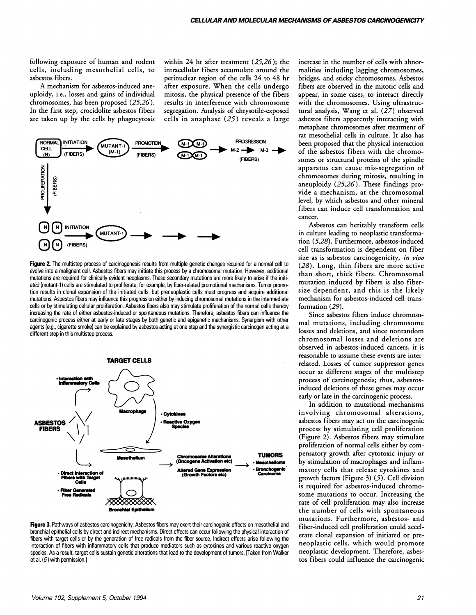following exposure of human and rodent cells, including mesothelial cells, to asbestos fibers.

A mechanism for asbestos-induced aneuploidy, i.e., losses and gains of individual chromosomes, has been proposed (25,26). In the first step, crocidolite asbestos fibers are taken up by the cells by phagocytosis within 24 hr after treatment (25,26); the intracellular fibers accumulate around the perinuclear region of the cells 24 to 48 hr after exposure. When the cells undergo mitosis, the physical presence of the fibers results in interference with chromosome segregation. Analysis of chrysotile-exposed cells in anaphase (25) reveals a large



Figure 2. The multistep process of carcinogenesis results from multiple genetic changes required for a normal cell to evolve into a malignant cell. Asbestos fibers may initiate this process by a chromosomal mutation. However. additional mutations are required for clinically evident neoplasms. These secondary mutations are more likely to arise if the initiated (mutant-l) cells are stimulated to proliferate, for example, by fiber·related promotional mechanisms. Tumor promo· tion results in clonal expansion of the initiated cells, but preneoplastic cells must progress and acquire additional mutations. Asbestos fibers may influence this progression either by inducing chromosomal mutations in the intermediate cells or by stimulating cellular proliferation. Asbestos fibers also may stimulate proliferation of the normal cells thereby increasing the rate of either asbestos·induced or spontaneous mutations. Therefore, asbestos fibers can influence the carcinogenic process either at early or late stages by both genetic and epigenetic mechanisms. Synergism with other agents (e.g., cigarette smoke) can be explained by asbestos acting at one step and the synergistic carcinogen acting at a<br>different step in this multistep process.



Figure 3. Pathways of asbestos carcinogenicity. Asbestos fibers may exert their carcinogenic effects on mesothelial and bronchial epithelial cells by direct and indirect mechanisms. Direct effects can occur following the physical interaction of fibers with target cells or by the generation of free radicals from the fiber source. Indirect effects arise following the interaction of fibers with inflammatory cells that produce mediators such as cytokines and various reactive oxygen species. As a result, target cells sustain genetic alterations that lead to the development of tumors. IT aken from Walker et al. (5) with permission.]

increase in the number of cells with abnormalities including lagging chromosomes, bridges, and sticky chromosomes. Asbestos fibers are observed in the mitotic cells and appear, in some cases, to interact directly with the chromosomes. Using ultrastructural analysis, Wang et al. (27) observed asbestos fibers apparently interacting with metaphase chromosomes after treatment of rat mesothelial cells in culture. It also has been proposed that the physical interaction of the asbestos fibers with the chromosomes or structural proteins of the spindle apparatus can cause mis-segregation of chromosomes during mitosis, resulting in aneuploidy (25,26). These findings provide a mechanism, at the chromosomal level, by which asbestos and other mineral fibers can induce cell transformation and cancer.

Asbestos can heritably transform cells in culture leading to neoplastic transformation (5,28). Furthermore, asbestos-induced cell transformation is dependent on fiber size as is asbestos carcinogenicity, *in vivo*  (28). Long, thin fibers are more active than short, thick fibers. Chromosomal mutation induced by fibers is also fibersize dependent, and this is the likely mechanism for asbestos-induced cell transformation (29).

Since asbestos fibers induce chromosomal mutations, including chromosome losses and deletions, and since nonrandom chromosomal losses and deletions are observed in asbestos-induced cancers, it is reasonable to assume these events are interrelated. Losses of tumor suppressor genes occur at different stages of the multistep process of carcinogenesis; thus, asbestosinduced deletions of these genes may occur early or late in the carcinogenic process.

In addition to mutational mechanisms involving chromosomal alterations, asbestos fibers may act on the carcinogenic process by stimulating cell proliferation (Figure 2). Asbestos fibers may stimulate proliferation of normal cells either by compensatory growth after cytotoxic injury or by stimulation of macrophages and inflammatory cells that release cytokines and growth factors (Figure 3) (5). Cell division is required for asbestos-induced chromosome mutations to occur. Increasing the rate of cell proliferation may also increase the number of cells with spontaneous mutations. Furthermore, asbestos- and fiber-induced cell proliferation could accelerate clonal expansion of initiated or preneoplastic cells, which would promote neoplastic development. Therefore, asbestos fibers could influence the carcinogenic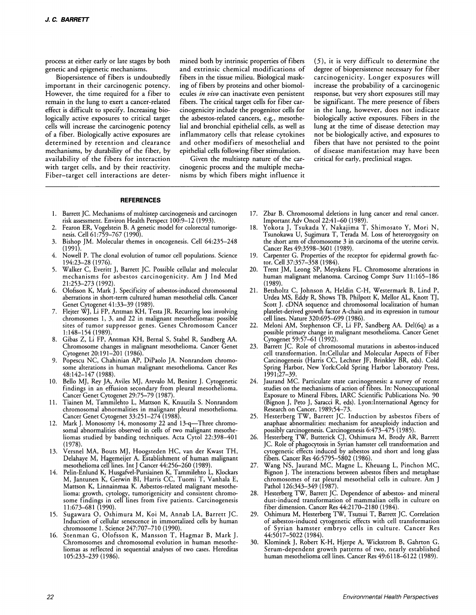process at either early or late stages by both genetic and epigenetic mechanisms.

Biopersistence of fibers is undoubtedly important in their carcinogenic potency. However, the time required for a fiber to remain in the lung to exert a cancer-related effect is difficult to specify. Increasing biologically active exposures to critical target cells will increase the carcinogenic potency of a fiber. Biologically active exposures are determined by retention and clearance mechanisms, by durability of the fiber, by availability of the fibers for interaction with target cells, and by their reactivity. Fiber-target cell interactions are determined both by intrinsic properties of fibers and extrinsic chemical modifications of fibers in the tissue milieu. Biological masking of fibers by proteins and other biomolecules *in vivo* can inactivate even persistent fibers. The critical target cells for fiber carcinogenicity include the progenitor cells for the asbestos-related cancers, e.g., mesothelial and bronchial epithelial cells, as well as inflammatory cells that release cytokines and other modifiers of mesothelial and epithelial cells following fiber stimulation.

Given the multistep nature of the carcinogenic process and the multiple mechanisms by which fibers might influence it

(5), it is very difficult to determine the degree of biopersistence necessary for fiber carcinogenicity. Longer exposures will increase the probability of a carcinogenic response, but very short exposures still may be significant. The mere presence of fibers in the lung, however, does not indicate biologically active exposures. Fibers in the lung at the time of disease detection may not be biologically active, and exposures to fibers that have not persisted to the point of disease manifestation may have been<br>critical for early, preclinical stages.

## **REFERENCES**

- 1. Barrett JC. Mechanisms of multistep carcinogenesis and carcinogen risk assessment. Environ Health Perspect 100:9-12 (1993).
- 2. Fearon ER, Vogelstein B. A genetic model for colorectal tumorigenesis. Cell 61:759-767 (1990).
- 3. Bishop JM. Molecular themes in oncogenesis. Cell 64:235-248 (1991).
- 4. Nowell P. The donal evolution of tumor cell populations. Science 194:23-28 (1976).
- 5. Walker C, Everitt J, Barrett JC. Possible cellular and molecular mechanisms for asbestos carcinogenicity. Am J Ind Med 21:253-273 (1992).
- 6. Olofsson K, Mark J. Specificity of asbestos-induced chromosomal aberrations in short-term cultured human mesothelial cells. Cancer Genet Cytogenet 41:33-39 (1989).
- 7. Flejter WJ, Li FP, Antman KH, Testa JR. Recurring loss involving chromosomes 1, 3, and 22 in malignant mesotheliomas: possible sites of tumor suppressor genes. Genes Chromosom Cancer 1:148-154 (1989).
- 8. Gibas Z, Li FP, Antman KH, Bernal S, Stahel R, Sandberg AA. Chromosome changes in malignant mesothelioma. Cancer Genet Cytogenet 20:191-201 (1986).
- 9. Popescu NC, Chahinian AP, DiPaolo JA. Nonrandom chromosome alterations in human malignant mesothelioma. Cancer Res 48:142-147 (1988).
- 10. Bello MJ, Rey JA, Aviles MJ, Arevalo M, Benitez J. Cytogenetic findings in an effusion secondary from pleural mesothelioma. Cancer Genet Cytogenet 29:75-79 (1987).
- 11. Tiainen M, Tammilehto L, Mattson K, Knuutila S. Nonrandom chromosomal abnormalities in malignant pleural mesothelioma. Cancer Genet Cytogenet 33:251-274 (1988).
- 12. Mark J. Monosomy 14, monosomy 22 and 13-q-Three chromosomal abnormalities observed in cells of two malignant mesotheliomas studied by banding techniques. Acta Cytol 22:398-401 (1978).
- 13. Versnel MA, Bouts MJ, Hoogsteden HC, van der Kwast TH, Delahaye M, Hagemeijer A. Establishment of human malignant mesothelioma cell lines. Int J Cancer 44:256-260 (1989).
- 14. Pelin-Enlund K, Husgafvel-Pursiainen K, Tammilehto L, Klockars M, Jantunen K, Getwin BI, Harris CC, Tuomi T, Vanhala E, Mattson K, Linnainmaa K. Asbestos-related malignant mesothelioma: growth, cytology, tumorigenicity and consistent chromosome findings in cell lines from five patients. Carcinogenesis 11:673-681 (1990).
- 15. Sugawara O, Oshimura M, Koi M, Annab LA, Barrett JC. Induction of cellular senescence in immortalized cells by human chromosome 1. Science 247:707-710 (1990).
- 16. Stenman G, Olofsson K, Mansson T, Hagmar B, Mark J. Chromosomes and chromosomal evolution in human mesotheliomas as reflected in sequential analyses of two cases. Hereditas 105:233-239 (1986).
- 17. Zbar B. Chromosomal deletions in lung cancer and renal cancer. Important Adv OncoI22:41-60 (1989).
- 18. Yokota J, Tsukada Y, Nakajima T, Shimosato Y, Mori N, Tsunokawa U, Sugimura T, Terada M. Loss of heterozygosity on the short arm of chromosome 3 in carcinoma of the uterine cervix. Cancer Res 49:3598-3601 (1989).
- 19. Carpenter G. Properties of the receptor for epidermal growth factor. Cell 37:357-358 (1984).
- 20. Trent JM, Leong SP, Meyskens FL. Chromosome alterations in human malignant melanoma. Carcinog Compr Surv 11:165-186 (1989)
- 21. Betsholtz C, Johnson A, Heldin C-H, Westermark B, Lind P, Urdea MS, Eddy R, Shows TB, Philpott K, Mellor AL, Knott TJ, Scott J. cDNA sequence and chromosomal localization of human platelet-derived growth factor A-chain and its expression in tumour cell lines. Nature 320:695-699 (1986).
- 22. Meloni AM, Stephenson CF, Li FP, Sandberg AA. Del(6q) as a possible primary change in malignant mesothelioma. Cancer Genet Cytogenet 59:57-61 (1992).
- 23. Barrett JC. Role of chromosomal mutations in asbestos-induced cell transformation. In:Cellular and Molecular Aspects of Fiber Carcinogenesis (Harris CC, Lechner JF, Brinkley BR, eds). Cold Spring Harbor, New York:Cold Spring Harbor Laboratory Press, 1991;27-39.
- 24. Jaurand MC. Particulate state carcinogenesis: a survey of recent studies on the mechanisms of action of fibres. In: Nonoccupational Exposure to Mineral Fibres, IARC Scientific Publications No. 90 (Bignon J, Peto J, Saracci R, eds). Lyon:Internationai Agency for Research on Cancer, 1989;54-73.
- 25. Hesterberg TW, Barrett JC. Induction by asbestos fibers of anaphase abnormalities: mechanism for aneuploidy induction and possibly carcinogenesis. Carcinogenesis 6:473-475 (1985).
- 26. Hesterberg TW, Butterick CJ, Oshimura M, Brody AR, Barrett JC. Role of phagocytosis in Syrian hamster cell transformation and cytogenetic effects induced by asbestos and short and long glass fibers. Cancer Res 46:5795-5802 (1986).
- 27. Wang NS, Jaurand MC, Magne L, Kheuang L, Pinchon MC, Bignon J. The interactions between asbestos fibers and metaphase chromosomes of rat pleural mesothelial cells in culture. Am J Pathol 126:343-349 (1987).
- 28. Hesterberg TW, Barrett JC. Dependence of asbestos- and mineral dust-induced transformation of mammalian cells in culture on fiber dimension. Cancer Res 44:2170-2180 (1984).
- 29. Oshimura M, Hesterberg TW, Tsutsui T, Barrett JC. Correlation of asbestos-induced cytogenetic effects with cell transformation of Syrian hamster embryo cells in culture. Cancer Res 44:5017-5022 (1984).
- 30. Klominek J, Robert K-H, Hjerpe A, Wickstrom B, Gahrton G. Serum-dependent growth patterns of two, nearly established human mesothelioma cell lines. Cancer Res 49:6118-6122 (1989).